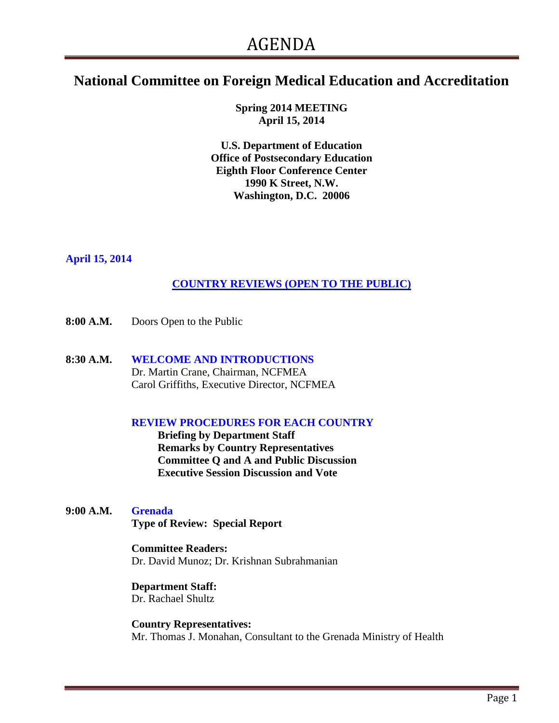# **National Committee on Foreign Medical Education and Accreditation**

**Spring 2014 MEETING April 15, 2014**

**U.S. Department of Education Office of Postsecondary Education Eighth Floor Conference Center 1990 K Street, N.W. Washington, D.C. 20006**

## **April 15, 2014**

# **COUNTRY REVIEWS (OPEN TO THE PUBLIC)**

- **8:00 A.M.** Doors Open to the Public
- **8:30 A.M. WELCOME AND INTRODUCTIONS** Dr. Martin Crane, Chairman, NCFMEA Carol Griffiths, Executive Director, NCFMEA

#### **REVIEW PROCEDURES FOR EACH COUNTRY**

**Briefing by Department Staff Remarks by Country Representatives Committee Q and A and Public Discussion Executive Session Discussion and Vote**

**9:00 A.M. Grenada**

 **Type of Review: Special Report**

#### **Committee Readers:**

Dr. David Munoz; Dr. Krishnan Subrahmanian

# **Department Staff:**

Dr. Rachael Shultz

 **Country Representatives:** Mr. Thomas J. Monahan, Consultant to the Grenada Ministry of Health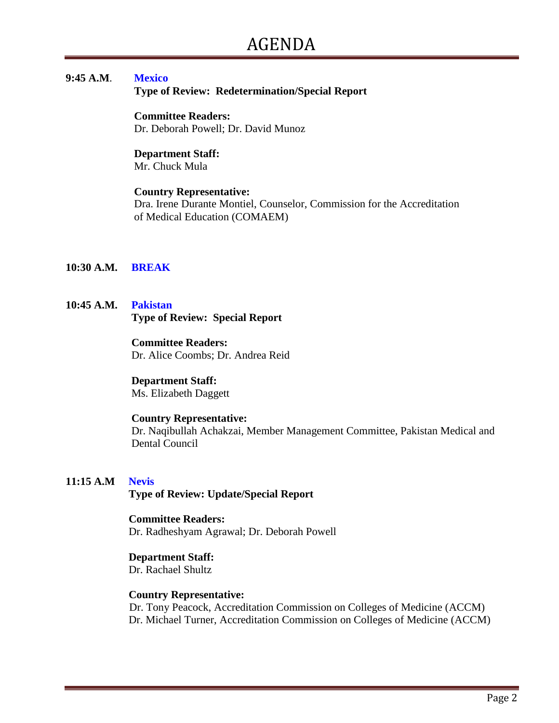## **9:45 A.M**. **Mexico**

 **Type of Review: Redetermination/Special Report**

#### **Committee Readers:**

Dr. Deborah Powell; Dr. David Munoz

# **Department Staff:**

Mr. Chuck Mula

#### **Country Representative:**

 Dra. Irene Durante Montiel, Counselor, Commission for the Accreditation of Medical Education (COMAEM)

#### **10:30 A.M. BREAK**

#### **10:45 A.M. Pakistan Type of Review: Special Report**

#### **Committee Readers:**

Dr. Alice Coombs; Dr. Andrea Reid

#### **Department Staff:**

Ms. Elizabeth Daggett

#### **Country Representative:**

Dr. Naqibullah Achakzai, Member Management Committee, Pakistan Medical and Dental Council

#### **11:15 A.M Nevis**

 **Type of Review: Update/Special Report** 

# **Committee Readers:**

Dr. Radheshyam Agrawal; Dr. Deborah Powell

#### **Department Staff:**

Dr. Rachael Shultz

#### **Country Representative:**

Dr. Tony Peacock, Accreditation Commission on Colleges of Medicine (ACCM) Dr. Michael Turner, Accreditation Commission on Colleges of Medicine (ACCM)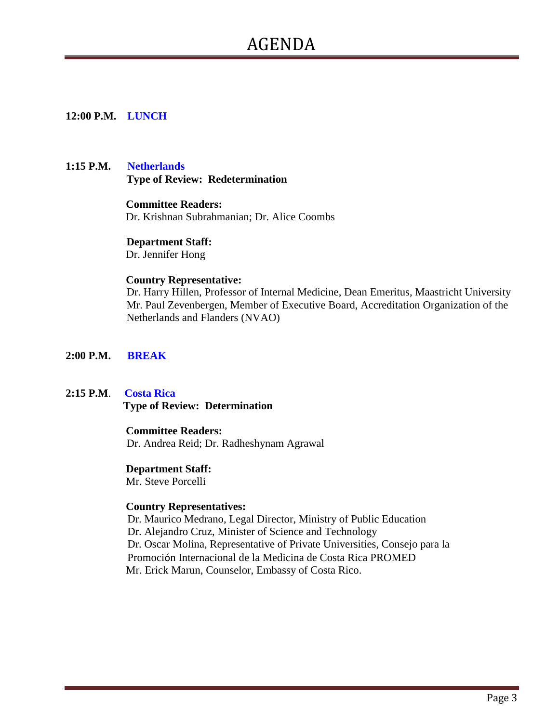# AGENDA

#### **12:00 P.M. LUNCH**

#### **1:15 P.M. Netherlands Type of Review: Redetermination**

 **Committee Readers:** Dr. Krishnan Subrahmanian; Dr. Alice Coombs

 **Department Staff:**

Dr. Jennifer Hong

#### **Country Representative:**

Dr. Harry Hillen, Professor of Internal Medicine, Dean Emeritus, Maastricht University Mr. Paul Zevenbergen, Member of Executive Board, Accreditation Organization of the Netherlands and Flanders (NVAO)

#### **2:00 P.M. BREAK**

#### **2:15 P.M**. **Costa Rica**

 **Type of Review: Determination**

#### **Committee Readers:**

Dr. Andrea Reid; Dr. Radheshynam Agrawal

## **Department Staff:**

Mr. Steve Porcelli

#### **Country Representatives:**

Dr. Maurico Medrano, Legal Director, Ministry of Public Education Dr. Alejandro Cruz, Minister of Science and Technology Dr. Oscar Molina, Representative of Private Universities, Consejo para la Promoción Internacional de la Medicina de Costa Rica PROMED Mr. Erick Marun, Counselor, Embassy of Costa Rico.